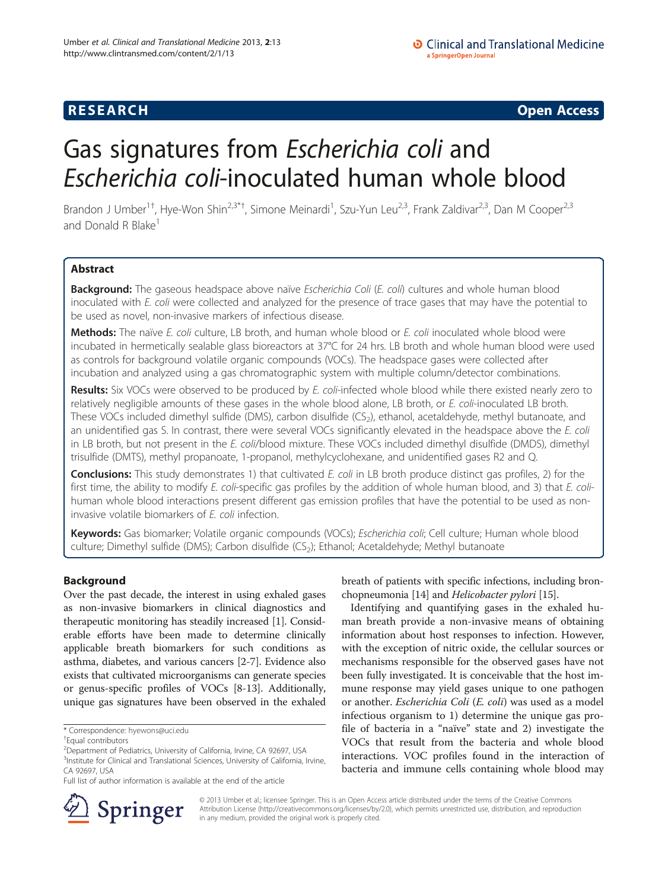## **RESEARCH RESEARCH CONSUMING ACCESS**

# Gas signatures from Escherichia coli and Escherichia coli-inoculated human whole blood

Brandon J Umber<sup>1†</sup>, Hye-Won Shin<sup>2,3\*†</sup>, Simone Meinardi<sup>1</sup>, Szu-Yun Leu<sup>2,3</sup>, Frank Zaldivar<sup>2,3</sup>, Dan M Cooper<sup>2,3</sup> and Donald R Blake<sup>1</sup>

## Abstract

Background: The gaseous headspace above naïve Escherichia Coli (E. coli) cultures and whole human blood inoculated with E. coli were collected and analyzed for the presence of trace gases that may have the potential to be used as novel, non-invasive markers of infectious disease.

Methods: The naïve E. coli culture, LB broth, and human whole blood or E. coli inoculated whole blood were incubated in hermetically sealable glass bioreactors at 37°C for 24 hrs. LB broth and whole human blood were used as controls for background volatile organic compounds (VOCs). The headspace gases were collected after incubation and analyzed using a gas chromatographic system with multiple column/detector combinations.

Results: Six VOCs were observed to be produced by E. coli-infected whole blood while there existed nearly zero to relatively negligible amounts of these gases in the whole blood alone, LB broth, or E. coli-inoculated LB broth. These VOCs included dimethyl sulfide (DMS), carbon disulfide (CS<sub>2</sub>), ethanol, acetaldehyde, methyl butanoate, and an unidentified gas S. In contrast, there were several VOCs significantly elevated in the headspace above the E. coli in LB broth, but not present in the E. coli/blood mixture. These VOCs included dimethyl disulfide (DMDS), dimethyl trisulfide (DMTS), methyl propanoate, 1-propanol, methylcyclohexane, and unidentified gases R2 and Q.

Conclusions: This study demonstrates 1) that cultivated E. coli in LB broth produce distinct gas profiles, 2) for the first time, the ability to modify E. coli-specific gas profiles by the addition of whole human blood, and 3) that E. colihuman whole blood interactions present different gas emission profiles that have the potential to be used as noninvasive volatile biomarkers of E. coli infection.

Keywords: Gas biomarker; Volatile organic compounds (VOCs); Escherichia coli; Cell culture; Human whole blood culture; Dimethyl sulfide (DMS); Carbon disulfide (CS<sub>2</sub>); Ethanol; Acetaldehyde; Methyl butanoate

## Background

Over the past decade, the interest in using exhaled gases as non-invasive biomarkers in clinical diagnostics and therapeutic monitoring has steadily increased [[1\]](#page-7-0). Considerable efforts have been made to determine clinically applicable breath biomarkers for such conditions as asthma, diabetes, and various cancers [[2-7\]](#page-7-0). Evidence also exists that cultivated microorganisms can generate species or genus-specific profiles of VOCs [\[8](#page-7-0)-[13](#page-7-0)]. Additionally, unique gas signatures have been observed in the exhaled

breath of patients with specific infections, including bronchopneumonia [\[14\]](#page-7-0) and Helicobacter pylori [[15](#page-7-0)].

Identifying and quantifying gases in the exhaled human breath provide a non-invasive means of obtaining information about host responses to infection. However, with the exception of nitric oxide, the cellular sources or mechanisms responsible for the observed gases have not been fully investigated. It is conceivable that the host immune response may yield gases unique to one pathogen or another. Escherichia Coli (E. coli) was used as a model infectious organism to 1) determine the unique gas profile of bacteria in a "naïve" state and 2) investigate the VOCs that result from the bacteria and whole blood interactions. VOC profiles found in the interaction of bacteria and immune cells containing whole blood may



© 2013 Umber et al.; licensee Springer. This is an Open Access article distributed under the terms of the Creative Commons Attribution License [\(http://creativecommons.org/licenses/by/2.0\)](http://creativecommons.org/licenses/by/2.0), which permits unrestricted use, distribution, and reproduction in any medium, provided the original work is properly cited.

<sup>\*</sup> Correspondence: [hyewons@uci.edu](mailto:hyewons@uci.edu) †

Equal contributors

<sup>&</sup>lt;sup>2</sup>Department of Pediatrics, University of California, Irvine, CA 92697, USA

<sup>&</sup>lt;sup>3</sup>Institute for Clinical and Translational Sciences, University of California, Irvine, CA 92697, USA

Full list of author information is available at the end of the article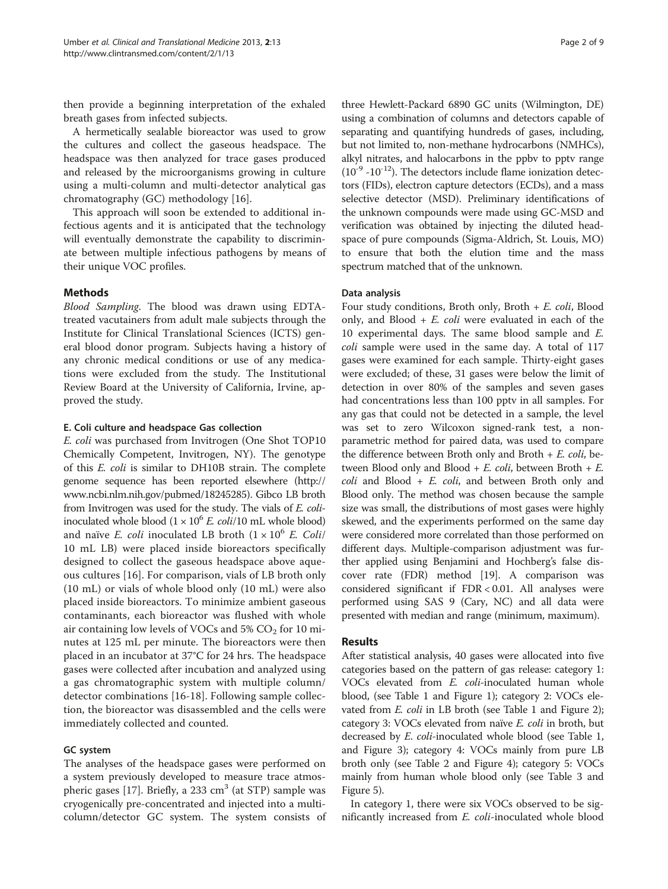then provide a beginning interpretation of the exhaled breath gases from infected subjects.

A hermetically sealable bioreactor was used to grow the cultures and collect the gaseous headspace. The headspace was then analyzed for trace gases produced and released by the microorganisms growing in culture using a multi-column and multi-detector analytical gas chromatography (GC) methodology [[16](#page-7-0)].

This approach will soon be extended to additional infectious agents and it is anticipated that the technology will eventually demonstrate the capability to discriminate between multiple infectious pathogens by means of their unique VOC profiles.

## Methods

Blood Sampling. The blood was drawn using EDTAtreated vacutainers from adult male subjects through the Institute for Clinical Translational Sciences (ICTS) general blood donor program. Subjects having a history of any chronic medical conditions or use of any medications were excluded from the study. The Institutional Review Board at the University of California, Irvine, approved the study.

## E. Coli culture and headspace Gas collection

E. coli was purchased from Invitrogen (One Shot TOP10 Chemically Competent, Invitrogen, NY). The genotype of this E. coli is similar to DH10B strain. The complete genome sequence has been reported elsewhere [\(http://](http://www.ncbi.nlm.nih.gov/pubmed/18245285) [www.ncbi.nlm.nih.gov/pubmed/18245285](http://www.ncbi.nlm.nih.gov/pubmed/18245285)). Gibco LB broth from Invitrogen was used for the study. The vials of E. coliinoculated whole blood  $(1 \times 10^6$  *E. coli*/10 mL whole blood) and naïve *E. coli* inoculated LB broth  $(1 \times 10^6$  *E. Coli*/ 10 mL LB) were placed inside bioreactors specifically designed to collect the gaseous headspace above aqueous cultures [[16](#page-7-0)]. For comparison, vials of LB broth only (10 mL) or vials of whole blood only (10 mL) were also placed inside bioreactors. To minimize ambient gaseous contaminants, each bioreactor was flushed with whole air containing low levels of VOCs and  $5\%$  CO<sub>2</sub> for 10 minutes at 125 mL per minute. The bioreactors were then placed in an incubator at 37°C for 24 hrs. The headspace gases were collected after incubation and analyzed using a gas chromatographic system with multiple column/ detector combinations [[16-18\]](#page-7-0). Following sample collection, the bioreactor was disassembled and the cells were immediately collected and counted.

## GC system

The analyses of the headspace gases were performed on a system previously developed to measure trace atmos-pheric gases [[17](#page-7-0)]. Briefly, a 233  $cm<sup>3</sup>$  (at STP) sample was cryogenically pre-concentrated and injected into a multicolumn/detector GC system. The system consists of

three Hewlett-Packard 6890 GC units (Wilmington, DE) using a combination of columns and detectors capable of separating and quantifying hundreds of gases, including, but not limited to, non-methane hydrocarbons (NMHCs), alkyl nitrates, and halocarbons in the ppbv to pptv range  $(10^{-9} - 10^{-12})$ . The detectors include flame ionization detectors (FIDs), electron capture detectors (ECDs), and a mass selective detector (MSD). Preliminary identifications of the unknown compounds were made using GC-MSD and verification was obtained by injecting the diluted headspace of pure compounds (Sigma-Aldrich, St. Louis, MO) to ensure that both the elution time and the mass spectrum matched that of the unknown.

## Data analysis

Four study conditions, Broth only, Broth  $+ E.$  coli, Blood only, and Blood  $+ E$ . *coli* were evaluated in each of the 10 experimental days. The same blood sample and E. coli sample were used in the same day. A total of 117 gases were examined for each sample. Thirty-eight gases were excluded; of these, 31 gases were below the limit of detection in over 80% of the samples and seven gases had concentrations less than 100 pptv in all samples. For any gas that could not be detected in a sample, the level was set to zero Wilcoxon signed-rank test, a nonparametric method for paired data, was used to compare the difference between Broth only and Broth  $+ E.$  coli, between Blood only and Blood  $+ E.$  coli, between Broth  $+ E.$  $coll$  and Blood + E. coli, and between Broth only and Blood only. The method was chosen because the sample size was small, the distributions of most gases were highly skewed, and the experiments performed on the same day were considered more correlated than those performed on different days. Multiple-comparison adjustment was further applied using Benjamini and Hochberg's false discover rate (FDR) method [\[19](#page-7-0)]. A comparison was considered significant if FDR < 0.01. All analyses were performed using SAS 9 (Cary, NC) and all data were presented with median and range (minimum, maximum).

## Results

After statistical analysis, 40 gases were allocated into five categories based on the pattern of gas release: category 1: VOCs elevated from *E. coli*-inoculated human whole blood, (see Table [1](#page-2-0) and Figure [1\)](#page-3-0); category 2: VOCs elevated from *E. coli* in LB broth (see Table [1](#page-2-0) and Figure [2](#page-4-0)); category 3: VOCs elevated from naïve E. coli in broth, but decreased by *E. coli-*inoculated whole blood (see Table [1](#page-2-0), and Figure [3](#page-4-0)); category 4: VOCs mainly from pure LB broth only (see Table [2](#page-5-0) and Figure [4\)](#page-5-0); category 5: VOCs mainly from human whole blood only (see Table [3](#page-6-0) and Figure [5](#page-6-0)).

In category 1, there were six VOCs observed to be significantly increased from *E. coli-*inoculated whole blood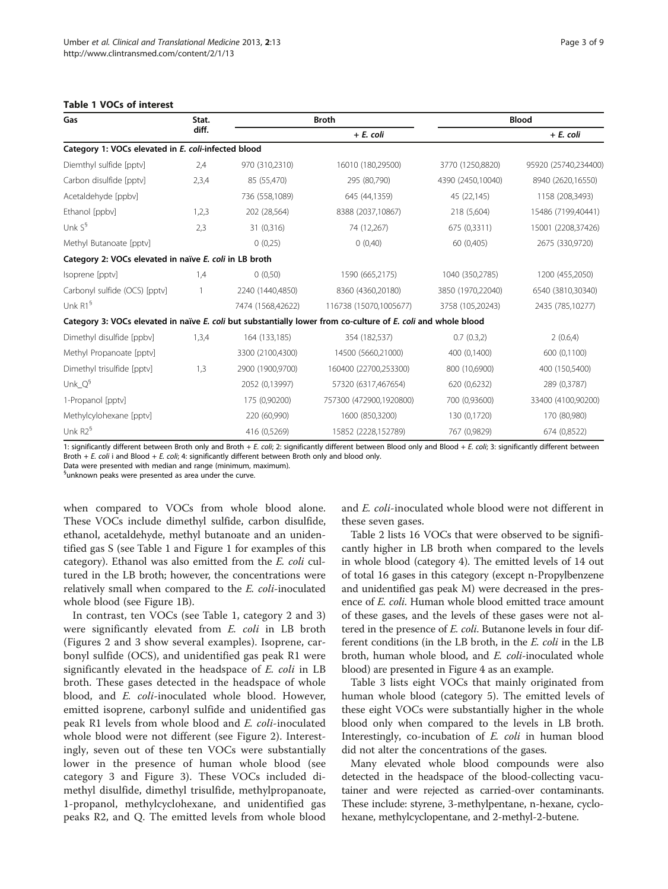| Gas                                                                                                           | Stat.<br>diff. | <b>Broth</b>      |                         | <b>Blood</b>      |                      |
|---------------------------------------------------------------------------------------------------------------|----------------|-------------------|-------------------------|-------------------|----------------------|
|                                                                                                               |                |                   | $+ E$ . coli            |                   | + E. coli            |
| Category 1: VOCs elevated in E. coli-infected blood                                                           |                |                   |                         |                   |                      |
| Diemthyl sulfide [pptv]                                                                                       | 2,4            | 970 (310,2310)    | 16010 (180,29500)       | 3770 (1250,8820)  | 95920 (25740,234400) |
| Carbon disulfide [pptv]                                                                                       | 2,3,4          | 85 (55,470)       | 295 (80,790)            | 4390 (2450,10040) | 8940 (2620,16550)    |
| Acetaldehyde [ppbv]                                                                                           |                | 736 (558,1089)    | 645 (44,1359)           | 45 (22,145)       | 1158 (208,3493)      |
| Ethanol [ppbv]                                                                                                | 1,2,3          | 202 (28,564)      | 8388 (2037,10867)       | 218 (5,604)       | 15486 (7199,40441)   |
| Unk $S^{\S}$                                                                                                  | 2,3            | 31 (0,316)        | 74 (12,267)             | 675 (0,3311)      | 15001 (2208,37426)   |
| Methyl Butanoate [pptv]                                                                                       |                | 0(0,25)           | 0(0,40)                 | 60 (0,405)        | 2675 (330,9720)      |
| Category 2: VOCs elevated in naïve E. coli in LB broth                                                        |                |                   |                         |                   |                      |
| Isoprene [pptv]                                                                                               | 1,4            | 0(0,50)           | 1590 (665,2175)         | 1040 (350,2785)   | 1200 (455,2050)      |
| Carbonyl sulfide (OCS) [pptv]                                                                                 | $\mathbf{1}$   | 2240 (1440,4850)  | 8360 (4360,20180)       | 3850 (1970,22040) | 6540 (3810,30340)    |
| Unk R1 <sup>§</sup>                                                                                           |                | 7474 (1568.42622) | 116738 (15070,1005677)  | 3758 (105,20243)  | 2435 (785,10277)     |
| Category 3: VOCs elevated in naïve E. coli but substantially lower from co-culture of E. coli and whole blood |                |                   |                         |                   |                      |
| Dimethyl disulfide [ppbv]                                                                                     | 1,3,4          | 164 (133,185)     | 354 (182,537)           | 0.7(0.3,2)        | 2(0.6,4)             |
| Methyl Propanoate [pptv]                                                                                      |                | 3300 (2100,4300)  | 14500 (5660,21000)      | 400 (0,1400)      | 600 (0,1100)         |
| Dimethyl trisulfide [pptv]                                                                                    | 1,3            | 2900 (1900,9700)  | 160400 (22700,253300)   | 800 (10,6900)     | 400 (150,5400)       |
| Unk $Q^9$                                                                                                     |                | 2052 (0,13997)    | 57320 (6317,467654)     | 620 (0,6232)      | 289 (0,3787)         |
| 1-Propanol [pptv]                                                                                             |                | 175 (0,90200)     | 757300 (472900,1920800) | 700 (0,93600)     | 33400 (4100,90200)   |
| Methylcylohexane [pptv]                                                                                       |                | 220 (60,990)      | 1600 (850,3200)         | 130 (0,1720)      | 170 (80,980)         |
| Unk $R2^9$                                                                                                    |                | 416 (0,5269)      | 15852 (2228,152789)     | 767 (0,9829)      | 674 (0,8522)         |

#### <span id="page-2-0"></span>Table 1 VOCs of interest

1: significantly different between Broth only and Broth + E. coli; 2: significantly different between Blood only and Blood + E. coli; 3: significantly different between Broth + E. coli i and Blood + E. coli; 4: significantly different between Broth only and blood only.

Data were presented with median and range (minimum, maximum).

§ unknown peaks were presented as area under the curve.

when compared to VOCs from whole blood alone. These VOCs include dimethyl sulfide, carbon disulfide, ethanol, acetaldehyde, methyl butanoate and an unidentified gas S (see Table 1 and Figure [1](#page-3-0) for examples of this category). Ethanol was also emitted from the E. coli cultured in the LB broth; however, the concentrations were relatively small when compared to the E. coli-inoculated whole blood (see Figure [1](#page-3-0)B).

In contrast, ten VOCs (see Table 1, category 2 and 3) were significantly elevated from *E. coli* in LB broth (Figures [2](#page-4-0) and [3](#page-4-0) show several examples). Isoprene, carbonyl sulfide (OCS), and unidentified gas peak R1 were significantly elevated in the headspace of E. coli in LB broth. These gases detected in the headspace of whole blood, and E. coli-inoculated whole blood. However, emitted isoprene, carbonyl sulfide and unidentified gas peak R1 levels from whole blood and E. coli-inoculated whole blood were not different (see Figure [2](#page-4-0)). Interestingly, seven out of these ten VOCs were substantially lower in the presence of human whole blood (see category 3 and Figure [3\)](#page-4-0). These VOCs included dimethyl disulfide, dimethyl trisulfide, methylpropanoate, 1-propanol, methylcyclohexane, and unidentified gas peaks R2, and Q. The emitted levels from whole blood and E. coli-inoculated whole blood were not different in these seven gases.

Table [2](#page-5-0) lists 16 VOCs that were observed to be significantly higher in LB broth when compared to the levels in whole blood (category 4). The emitted levels of 14 out of total 16 gases in this category (except n-Propylbenzene and unidentified gas peak M) were decreased in the presence of E. coli. Human whole blood emitted trace amount of these gases, and the levels of these gases were not altered in the presence of E. coli. Butanone levels in four different conditions (in the LB broth, in the E. coli in the LB broth, human whole blood, and E. coli-inoculated whole blood) are presented in Figure [4](#page-5-0) as an example.

Table [3](#page-6-0) lists eight VOCs that mainly originated from human whole blood (category 5). The emitted levels of these eight VOCs were substantially higher in the whole blood only when compared to the levels in LB broth. Interestingly, co-incubation of E. coli in human blood did not alter the concentrations of the gases.

Many elevated whole blood compounds were also detected in the headspace of the blood-collecting vacutainer and were rejected as carried-over contaminants. These include: styrene, 3-methylpentane, n-hexane, cyclohexane, methylcyclopentane, and 2-methyl-2-butene.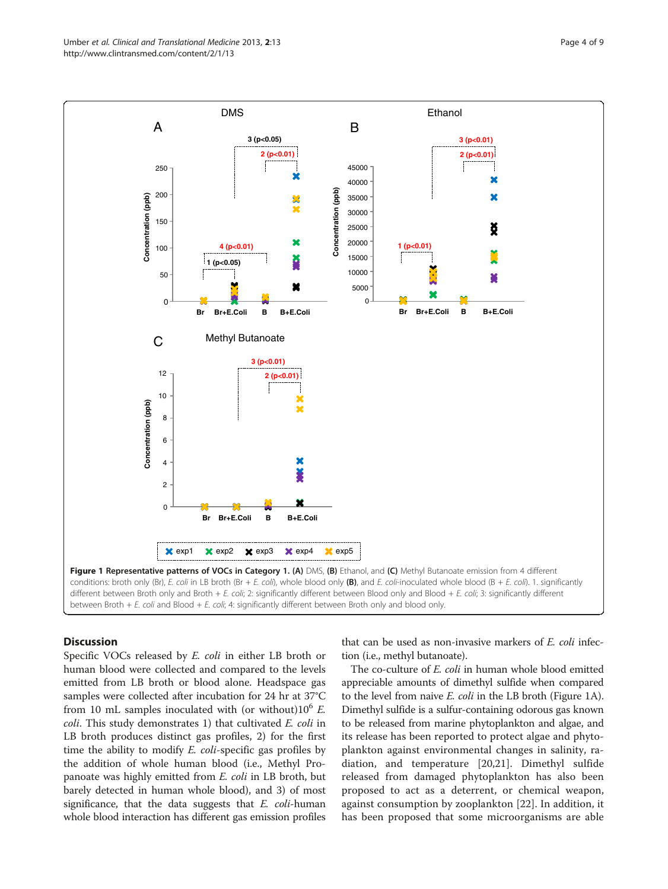<span id="page-3-0"></span>

## **Discussion**

Specific VOCs released by E. coli in either LB broth or human blood were collected and compared to the levels emitted from LB broth or blood alone. Headspace gas samples were collected after incubation for 24 hr at 37°C from 10 mL samples inoculated with (or without) $10^6$  E. coli. This study demonstrates 1) that cultivated E. coli in LB broth produces distinct gas profiles, 2) for the first time the ability to modify E. coli-specific gas profiles by the addition of whole human blood (i.e., Methyl Propanoate was highly emitted from E. coli in LB broth, but barely detected in human whole blood), and 3) of most significance, that the data suggests that  $E$ .  $\text{coli-human}$ whole blood interaction has different gas emission profiles that can be used as non-invasive markers of E. coli infection (i.e., methyl butanoate).

The co-culture of *E. coli* in human whole blood emitted appreciable amounts of dimethyl sulfide when compared to the level from naive *E. coli* in the LB broth (Figure 1A). Dimethyl sulfide is a sulfur-containing odorous gas known to be released from marine phytoplankton and algae, and its release has been reported to protect algae and phytoplankton against environmental changes in salinity, radiation, and temperature [\[20](#page-7-0),[21\]](#page-7-0). Dimethyl sulfide released from damaged phytoplankton has also been proposed to act as a deterrent, or chemical weapon, against consumption by zooplankton [[22\]](#page-8-0). In addition, it has been proposed that some microorganisms are able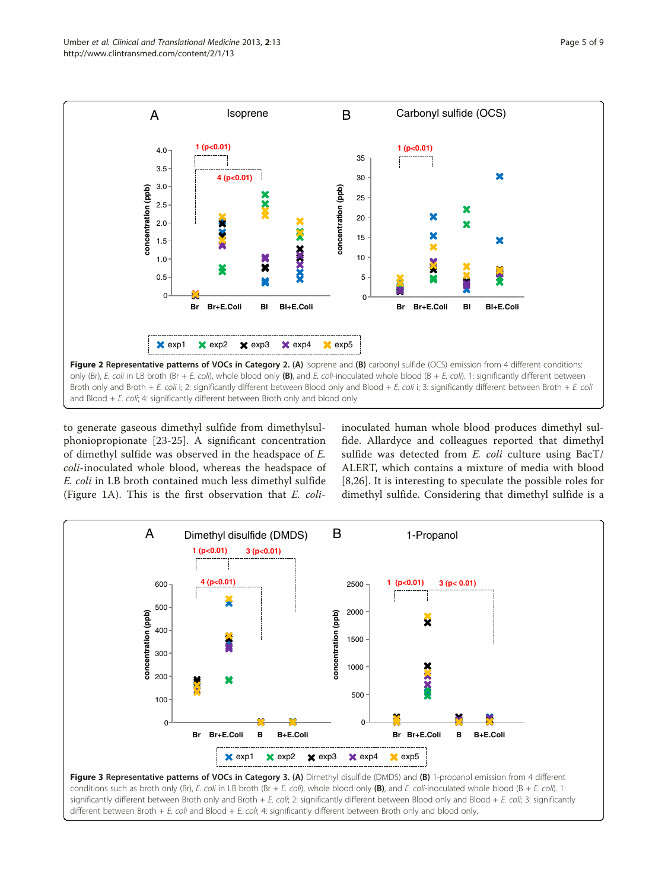<span id="page-4-0"></span>

to generate gaseous dimethyl sulfide from dimethylsulphoniopropionate [\[23](#page-8-0)-[25\]](#page-8-0). A significant concentration of dimethyl sulfide was observed in the headspace of E. coli-inoculated whole blood, whereas the headspace of E. coli in LB broth contained much less dimethyl sulfide (Figure [1A](#page-3-0)). This is the first observation that E. coliinoculated human whole blood produces dimethyl sulfide. Allardyce and colleagues reported that dimethyl sulfide was detected from E. coli culture using BacT/ ALERT, which contains a mixture of media with blood [[8](#page-7-0)[,26](#page-8-0)]. It is interesting to speculate the possible roles for dimethyl sulfide. Considering that dimethyl sulfide is a



different between Broth + E. coli and Blood + E. coli; 4: significantly different between Broth only and blood only.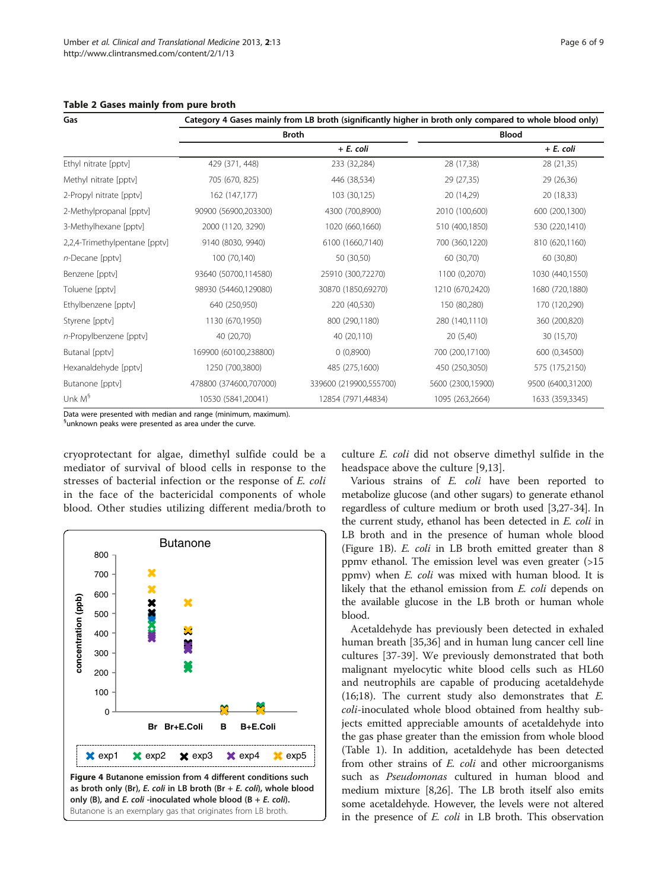| Gas                           | Category 4 Gases mainly from LB broth (significantly higher in broth only compared to whole blood only) |                        |                   |                   |  |  |  |
|-------------------------------|---------------------------------------------------------------------------------------------------------|------------------------|-------------------|-------------------|--|--|--|
|                               |                                                                                                         | <b>Broth</b>           | <b>Blood</b>      |                   |  |  |  |
|                               |                                                                                                         | + E. coli              |                   | + E. coli         |  |  |  |
| Ethyl nitrate [pptv]          | 429 (371, 448)                                                                                          | 233 (32,284)           | 28 (17,38)        | 28 (21,35)        |  |  |  |
| Methyl nitrate [pptv]         | 705 (670, 825)                                                                                          | 446 (38,534)           | 29 (27,35)        | 29 (26,36)        |  |  |  |
| 2-Propyl nitrate [pptv]       | 162 (147,177)                                                                                           | 103 (30,125)           | 20 (14,29)        | 20 (18,33)        |  |  |  |
| 2-Methylpropanal [pptv]       | 90900 (56900,203300)                                                                                    | 4300 (700,8900)        | 2010 (100,600)    | 600 (200,1300)    |  |  |  |
| 3-Methylhexane [pptv]         | 2000 (1120, 3290)                                                                                       | 1020 (660,1660)        | 510 (400,1850)    | 530 (220,1410)    |  |  |  |
| 2,2,4-Trimethylpentane [pptv] | 9140 (8030, 9940)                                                                                       | 6100 (1660,7140)       | 700 (360,1220)    | 810 (620,1160)    |  |  |  |
| n-Decane [pptv]               | 100 (70,140)                                                                                            | 50 (30,50)             | 60 (30,70)        | 60 (30,80)        |  |  |  |
| Benzene [pptv]                | 93640 (50700,114580)                                                                                    | 25910 (300,72270)      | 1100 (0,2070)     | 1030 (440,1550)   |  |  |  |
| Toluene [pptv]                | 98930 (54460,129080)                                                                                    | 30870 (1850,69270)     | 1210 (670,2420)   | 1680 (720,1880)   |  |  |  |
| Ethylbenzene [pptv]           | 640 (250,950)                                                                                           | 220 (40,530)           | 150 (80,280)      | 170 (120,290)     |  |  |  |
| Styrene [pptv]                | 1130 (670,1950)                                                                                         | 800 (290,1180)         | 280 (140,1110)    | 360 (200,820)     |  |  |  |
| n-Propylbenzene [pptv]        | 40 (20,70)                                                                                              | 40 (20,110)            | 20 (5,40)         | 30 (15,70)        |  |  |  |
| Butanal [pptv]                | 169900 (60100,238800)                                                                                   | 0(0,8900)              | 700 (200,17100)   | 600 (0,34500)     |  |  |  |
| Hexanaldehyde [pptv]          | 1250 (700,3800)                                                                                         | 485 (275,1600)         | 450 (250,3050)    | 575 (175,2150)    |  |  |  |
| Butanone [pptv]               | 478800 (374600,707000)                                                                                  | 339600 (219900,555700) | 5600 (2300,15900) | 9500 (6400,31200) |  |  |  |
| Unk $M^{\S}$                  | 10530 (5841,20041)                                                                                      | 12854 (7971,44834)     | 1095 (263,2664)   | 1633 (359,3345)   |  |  |  |

#### <span id="page-5-0"></span>Table 2 Gases mainly from pure broth

Data were presented with median and range (minimum, maximum).

§ unknown peaks were presented as area under the curve.

cryoprotectant for algae, dimethyl sulfide could be a mediator of survival of blood cells in response to the stresses of bacterial infection or the response of E. coli in the face of the bactericidal components of whole blood. Other studies utilizing different media/broth to



culture E. coli did not observe dimethyl sulfide in the headspace above the culture [[9,13\]](#page-7-0).

Various strains of E. coli have been reported to metabolize glucose (and other sugars) to generate ethanol regardless of culture medium or broth used [[3](#page-7-0)[,27](#page-8-0)-[34](#page-8-0)]. In the current study, ethanol has been detected in E. coli in LB broth and in the presence of human whole blood (Figure [1B](#page-3-0)). E. coli in LB broth emitted greater than 8 ppmv ethanol. The emission level was even greater (>15 ppmv) when E. coli was mixed with human blood. It is likely that the ethanol emission from *E. coli* depends on the available glucose in the LB broth or human whole blood.

Acetaldehyde has previously been detected in exhaled human breath [\[35,36](#page-8-0)] and in human lung cancer cell line cultures [\[37](#page-8-0)-[39\]](#page-8-0). We previously demonstrated that both malignant myelocytic white blood cells such as HL60 and neutrophils are capable of producing acetaldehyde (16;18). The current study also demonstrates that  $E$ . coli-inoculated whole blood obtained from healthy subjects emitted appreciable amounts of acetaldehyde into the gas phase greater than the emission from whole blood (Table [1\)](#page-2-0). In addition, acetaldehyde has been detected from other strains of E. coli and other microorganisms such as Pseudomonas cultured in human blood and medium mixture [\[8](#page-7-0)[,26\]](#page-8-0). The LB broth itself also emits some acetaldehyde. However, the levels were not altered in the presence of E. coli in LB broth. This observation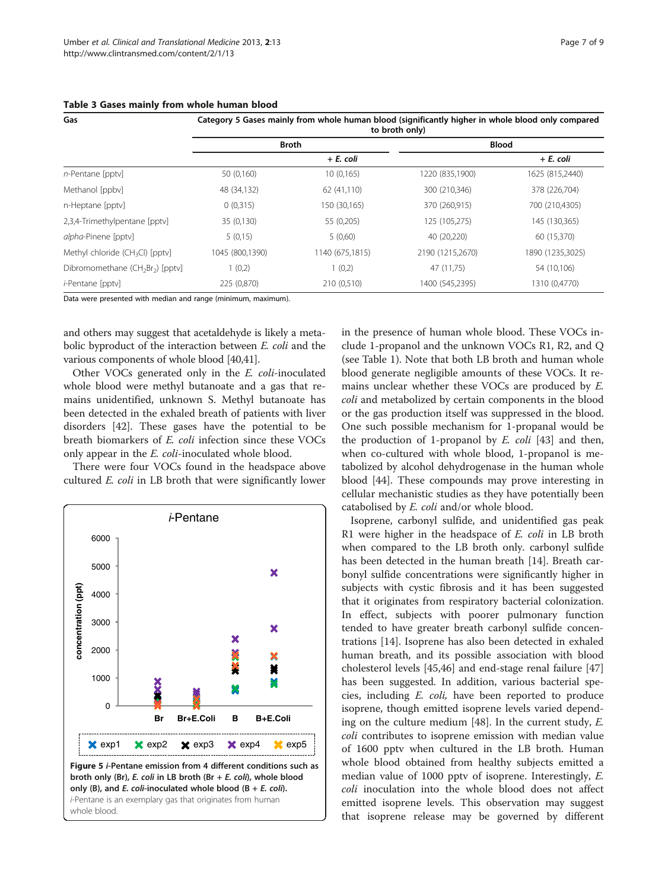| Gas                                                      | Category 5 Gases mainly from whole human blood (significantly higher in whole blood only compared<br>to broth only) |                 |                  |                  |  |  |
|----------------------------------------------------------|---------------------------------------------------------------------------------------------------------------------|-----------------|------------------|------------------|--|--|
|                                                          |                                                                                                                     | <b>Broth</b>    | <b>Blood</b>     |                  |  |  |
|                                                          |                                                                                                                     | + E. coli       |                  | + E. coli        |  |  |
| $n$ -Pentane [pptv]                                      | 50 (0,160)                                                                                                          | 10(0,165)       | 1220 (835,1900)  | 1625 (815,2440)  |  |  |
| Methanol [ppbv]                                          | 48 (34,132)                                                                                                         | 62 (41,110)     | 300 (210,346)    | 378 (226,704)    |  |  |
| n-Heptane [pptv]                                         | 0(0,315)                                                                                                            | 150 (30,165)    | 370 (260,915)    | 700 (210,4305)   |  |  |
| 2,3,4-Trimethylpentane [ppty]                            | 35 (0,130)                                                                                                          | 55 (0,205)      | 125 (105,275)    | 145 (130,365)    |  |  |
| alpha-Pinene [pptv]                                      | 5(0,15)                                                                                                             | 5(0,60)         | 40 (20,220)      | 60 (15,370)      |  |  |
| Methyl chloride ( $CH3Cl$ ) [pptv]                       | 1045 (800,1390)                                                                                                     | 1140 (675,1815) | 2190 (1215,2670) | 1890 (1235,3025) |  |  |
| Dibromomethane (CH <sub>2</sub> Br <sub>2</sub> ) [pptv] | 1(0,2)                                                                                                              | 1(0,2)          | 47 (11,75)       | 54 (10,106)      |  |  |
| <i>i</i> -Pentane [pptv]                                 | 225 (0,870)                                                                                                         | 210 (0,510)     | 1400 (545,2395)  | 1310 (0,4770)    |  |  |

<span id="page-6-0"></span>Table 3 Gases mainly from whole human blood

Data were presented with median and range (minimum, maximum).

and others may suggest that acetaldehyde is likely a metabolic byproduct of the interaction between E. coli and the various components of whole blood [\[40,41\]](#page-8-0).

Other VOCs generated only in the E. coli-inoculated whole blood were methyl butanoate and a gas that remains unidentified, unknown S. Methyl butanoate has been detected in the exhaled breath of patients with liver disorders [\[42](#page-8-0)]. These gases have the potential to be breath biomarkers of E. coli infection since these VOCs only appear in the E. coli-inoculated whole blood.

There were four VOCs found in the headspace above cultured E. coli in LB broth that were significantly lower



in the presence of human whole blood. These VOCs include 1-propanol and the unknown VOCs R1, R2, and Q (see Table [1\)](#page-2-0). Note that both LB broth and human whole blood generate negligible amounts of these VOCs. It remains unclear whether these VOCs are produced by E. coli and metabolized by certain components in the blood or the gas production itself was suppressed in the blood. One such possible mechanism for 1-propanal would be the production of 1-propanol by  $E$ . coli [\[43](#page-8-0)] and then, when co-cultured with whole blood, 1-propanol is metabolized by alcohol dehydrogenase in the human whole blood [\[44\]](#page-8-0). These compounds may prove interesting in cellular mechanistic studies as they have potentially been catabolised by E. coli and/or whole blood.

Isoprene, carbonyl sulfide, and unidentified gas peak R1 were higher in the headspace of  $E$ . coli in LB broth when compared to the LB broth only. carbonyl sulfide has been detected in the human breath [\[14](#page-7-0)]. Breath carbonyl sulfide concentrations were significantly higher in subjects with cystic fibrosis and it has been suggested that it originates from respiratory bacterial colonization. In effect, subjects with poorer pulmonary function tended to have greater breath carbonyl sulfide concentrations [[14](#page-7-0)]. Isoprene has also been detected in exhaled human breath, and its possible association with blood cholesterol levels [\[45,46\]](#page-8-0) and end-stage renal failure [[47](#page-8-0)] has been suggested. In addition, various bacterial species, including E. coli, have been reported to produce isoprene, though emitted isoprene levels varied depending on the culture medium [\[48](#page-8-0)]. In the current study, E. coli contributes to isoprene emission with median value of 1600 pptv when cultured in the LB broth. Human whole blood obtained from healthy subjects emitted a median value of 1000 pptv of isoprene. Interestingly, E. coli inoculation into the whole blood does not affect emitted isoprene levels. This observation may suggest that isoprene release may be governed by different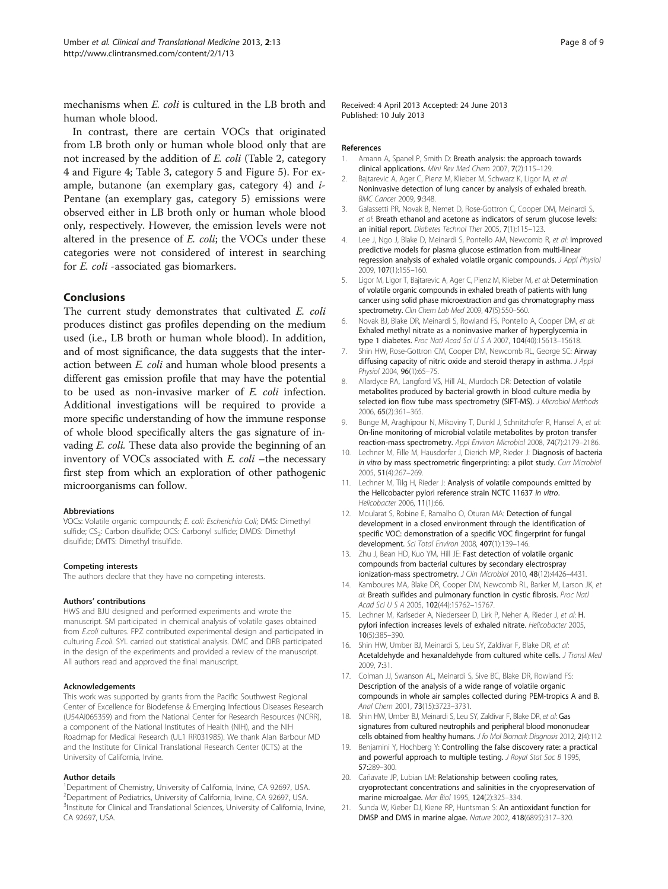<span id="page-7-0"></span>mechanisms when E. coli is cultured in the LB broth and human whole blood.

In contrast, there are certain VOCs that originated from LB broth only or human whole blood only that are not increased by the addition of E. coli (Table [2](#page-5-0), category 4 and Figure [4](#page-5-0); Table [3](#page-6-0), category 5 and Figure [5\)](#page-6-0). For example, butanone (an exemplary gas, category 4) and i-Pentane (an exemplary gas, category 5) emissions were observed either in LB broth only or human whole blood only, respectively. However, the emission levels were not altered in the presence of E. coli; the VOCs under these categories were not considered of interest in searching for E. coli -associated gas biomarkers.

## Conclusions

The current study demonstrates that cultivated *E. coli* produces distinct gas profiles depending on the medium used (i.e., LB broth or human whole blood). In addition, and of most significance, the data suggests that the interaction between E. coli and human whole blood presents a different gas emission profile that may have the potential to be used as non-invasive marker of E. coli infection. Additional investigations will be required to provide a more specific understanding of how the immune response of whole blood specifically alters the gas signature of invading E. coli. These data also provide the beginning of an inventory of VOCs associated with  $E.$   $\text{coli}$  –the necessary first step from which an exploration of other pathogenic microorganisms can follow.

#### Abbreviations

VOCs: Volatile organic compounds; E. coli: Escherichia Coli; DMS: Dimethyl sulfide; CS<sub>2</sub>: Carbon disulfide; OCS: Carbonyl sulfide; DMDS: Dimethyl disulfide; DMTS: Dimethyl trisulfide.

#### Competing interests

The authors declare that they have no competing interests.

#### Authors' contributions

HWS and BJU designed and performed experiments and wrote the manuscript. SM participated in chemical analysis of volatile gases obtained from E.coli cultures. FPZ contributed experimental design and participated in culturing E.coli. SYL carried out statistical analysis. DMC and DRB participated in the design of the experiments and provided a review of the manuscript. All authors read and approved the final manuscript.

#### Acknowledgements

This work was supported by grants from the Pacific Southwest Regional Center of Excellence for Biodefense & Emerging Infectious Diseases Research (U54AI065359) and from the National Center for Research Resources (NCRR), a component of the National Institutes of Health (NIH), and the NIH Roadmap for Medical Research (UL1 RR031985). We thank Alan Barbour MD and the Institute for Clinical Translational Research Center (ICTS) at the University of California, Irvine.

#### Author details

<sup>1</sup>Department of Chemistry, University of California, Irvine, CA 92697, USA. <sup>2</sup>Department of Pediatrics, University of California, Irvine, CA 92697, USA. <sup>3</sup>Institute for Clinical and Translational Sciences, University of California, Irvine, CA 92697, USA.

Received: 4 April 2013 Accepted: 24 June 2013 Published: 10 July 2013

#### References

- 1. Amann A, Spanel P, Smith D: Breath analysis: the approach towards clinical applications. Mini Rev Med Chem 2007, 7(2):115–129.
- 2. Bajtarevic A, Ager C, Pienz M, Klieber M, Schwarz K, Ligor M, et al: Noninvasive detection of lung cancer by analysis of exhaled breath. BMC Cancer 2009, 9:348.
- 3. Galassetti PR, Novak B, Nemet D, Rose-Gottron C, Cooper DM, Meinardi S, et al: Breath ethanol and acetone as indicators of serum glucose levels: an initial report. Diabetes Technol Ther 2005, 7(1):115–123.
- Lee J, Ngo J, Blake D, Meinardi S, Pontello AM, Newcomb R, et al: Improved predictive models for plasma glucose estimation from multi-linear regression analysis of exhaled volatile organic compounds. J Appl Physiol 2009, 107(1):155–160.
- 5. Ligor M, Ligor T, Bajtarevic A, Ager C, Pienz M, Klieber M, et al: Determination of volatile organic compounds in exhaled breath of patients with lung cancer using solid phase microextraction and gas chromatography mass spectrometry. Clin Chem Lab Med 2009, 47(5):550–560.
- 6. Novak BJ, Blake DR, Meinardi S, Rowland FS, Pontello A, Cooper DM, et al: Exhaled methyl nitrate as a noninvasive marker of hyperglycemia in type 1 diabetes. Proc Natl Acad Sci U S A 2007, 104(40):15613-15618.
- 7. Shin HW, Rose-Gottron CM, Cooper DM, Newcomb RL, George SC: Airway diffusing capacity of nitric oxide and steroid therapy in asthma. J Appl Physiol 2004, 96(1):65–75.
- 8. Allardyce RA, Langford VS, Hill AL, Murdoch DR: Detection of volatile metabolites produced by bacterial growth in blood culture media by selected ion flow tube mass spectrometry (SIFT-MS). J Microbiol Methods 2006, 65(2):361–365.
- 9. Bunge M, Araghipour N, Mikoviny T, Dunkl J, Schnitzhofer R, Hansel A, et al: On-line monitoring of microbial volatile metabolites by proton transfer reaction-mass spectrometry. Appl Environ Microbiol 2008, 74(7):2179–2186.
- 10. Lechner M, Fille M, Hausdorfer J, Dierich MP, Rieder J: Diagnosis of bacteria in vitro by mass spectrometric fingerprinting: a pilot study. Curr Microbiol 2005, 51(4):267–269.
- 11. Lechner M, Tilg H, Rieder J: Analysis of volatile compounds emitted by the Helicobacter pylori reference strain NCTC 11637 in vitro. Helicobacter 2006, 11(1):66.
- 12. Moularat S, Robine E, Ramalho O, Oturan MA: Detection of fungal development in a closed environment through the identification of specific VOC: demonstration of a specific VOC fingerprint for fungal development. Sci Total Environ 2008, 407(1):139–146.
- 13. Zhu J, Bean HD, Kuo YM, Hill JE: Fast detection of volatile organic compounds from bacterial cultures by secondary electrospray ionization-mass spectrometry. J Clin Microbiol 2010, 48(12):4426-4431.
- 14. Kamboures MA, Blake DR, Cooper DM, Newcomb RL, Barker M, Larson JK, et al: Breath sulfides and pulmonary function in cystic fibrosis. Proc Natl Acad Sci U S A 2005, 102(44):15762–15767.
- 15. Lechner M, Karlseder A, Niederseer D, Lirk P, Neher A, Rieder J, et al: H. pylori infection increases levels of exhaled nitrate. Helicobacter 2005, 10(5):385–390.
- 16. Shin HW, Umber BJ, Meinardi S, Leu SY, Zaldivar F, Blake DR, et al: Acetaldehyde and hexanaldehyde from cultured white cells. J Transl Med 2009, 7:31.
- 17. Colman JJ, Swanson AL, Meinardi S, Sive BC, Blake DR, Rowland FS: Description of the analysis of a wide range of volatile organic compounds in whole air samples collected during PEM-tropics A and B. Anal Chem 2001, 73(15):3723–3731.
- 18. Shin HW, Umber BJ, Meinardi S, Leu SY, Zaldivar F, Blake DR, et al: Gas signatures from cultured neutrophils and peripheral blood mononuclear cells obtained from healthy humans. J fo Mol Biomark Diagnosis 2012, 2(4):112.
- 19. Benjamini Y, Hochberg Y: Controlling the false discovery rate: a practical and powerful approach to multiple testing. J Royal Stat Soc B 1995, 57:289–300.
- 20. Cañavate JP, Lubian LM: Relationship between cooling rates, cryoprotectant concentrations and salinities in the cryopreservation of marine microalgae. Mar Biol 1995, 124(2):325–334.
- 21. Sunda W, Kieber DJ, Kiene RP, Huntsman S: An antioxidant function for DMSP and DMS in marine algae. Nature 2002, 418(6895):317–320.